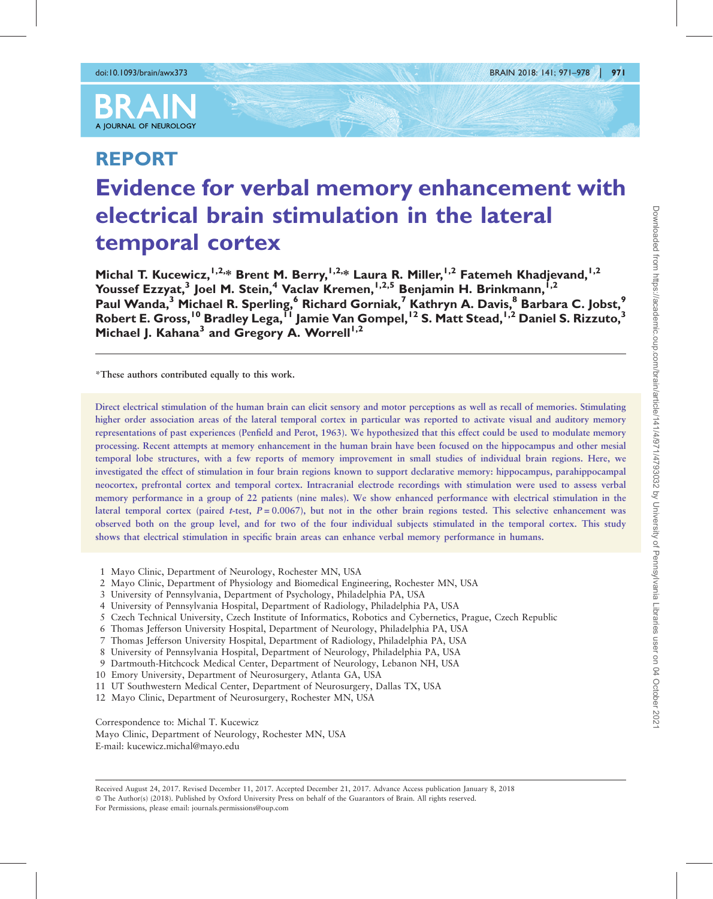

# REPORT Evidence for verbal memory enhancement with electrical brain stimulation in the lateral temporal cortex

Michal T. Kucewicz,<sup>1,2,\*</sup> Brent M. Berry,<sup>1,2,\*</sup> Laura R. Miller,<sup>1,2</sup> Fatemeh Khadjevand,<sup>1,2</sup> Youssef Ezzyat,<sup>3</sup> Joel M. Stein,<sup>4</sup> Vaclav Kremen,<sup>1,2,5</sup> Benjamin H. Brinkmann,<sup>1,2</sup> Paul Wanda,<sup>3</sup> Michael R. Sperling,<sup>6</sup> Richard Gorniak,<sup>7</sup> Kathryn A. Davis,<sup>8</sup> Barbara C. Jobst,<sup>9</sup> Robert E. Gross,<sup>10</sup> Bradley Lega,<sup>11</sup> Jamie Van Gompel,<sup>12</sup> S. Matt Stead,<sup>1,2</sup> Daniel S. Rizzuto,<sup>3</sup> Michael J. Kahana<sup>3</sup> and Gregory A. Worrell<sup>1,2</sup>

\*These authors contributed equally to this work.

Direct electrical stimulation of the human brain can elicit sensory and motor perceptions as well as recall of memories. Stimulating higher order association areas of the lateral temporal cortex in particular was reported to activate visual and auditory memory representations of past experiences (Penfield and Perot, 1963). We hypothesized that this effect could be used to modulate memory processing. Recent attempts at memory enhancement in the human brain have been focused on the hippocampus and other mesial temporal lobe structures, with a few reports of memory improvement in small studies of individual brain regions. Here, we investigated the effect of stimulation in four brain regions known to support declarative memory: hippocampus, parahippocampal neocortex, prefrontal cortex and temporal cortex. Intracranial electrode recordings with stimulation were used to assess verbal memory performance in a group of 22 patients (nine males). We show enhanced performance with electrical stimulation in the lateral temporal cortex (paired t-test,  $P = 0.0067$ ), but not in the other brain regions tested. This selective enhancement was observed both on the group level, and for two of the four individual subjects stimulated in the temporal cortex. This study shows that electrical stimulation in specific brain areas can enhance verbal memory performance in humans.

- 1 Mayo Clinic, Department of Neurology, Rochester MN, USA
- 2 Mayo Clinic, Department of Physiology and Biomedical Engineering, Rochester MN, USA
- 3 University of Pennsylvania, Department of Psychology, Philadelphia PA, USA
- 4 University of Pennsylvania Hospital, Department of Radiology, Philadelphia PA, USA
- 5 Czech Technical University, Czech Institute of Informatics, Robotics and Cybernetics, Prague, Czech Republic
- 6 Thomas Jefferson University Hospital, Department of Neurology, Philadelphia PA, USA
- 7 Thomas Jefferson University Hospital, Department of Radiology, Philadelphia PA, USA
- 8 University of Pennsylvania Hospital, Department of Neurology, Philadelphia PA, USA
- 9 Dartmouth-Hitchcock Medical Center, Department of Neurology, Lebanon NH, USA
- 10 Emory University, Department of Neurosurgery, Atlanta GA, USA
- 11 UT Southwestern Medical Center, Department of Neurosurgery, Dallas TX, USA
- 12 Mayo Clinic, Department of Neurosurgery, Rochester MN, USA

Correspondence to: Michal T. Kucewicz

Mayo Clinic, Department of Neurology, Rochester MN, USA E-mail: kucewicz.michal@mayo.edu

Received August 24, 2017. Revised December 11, 2017. Accepted December 21, 2017. Advance Access publication January 8, 2018 © The Author(s) (2018). Published by Oxford University Press on behalf of the Guarantors of Brain. All rights reserved. For Permissions, please email: journals.permissions@oup.com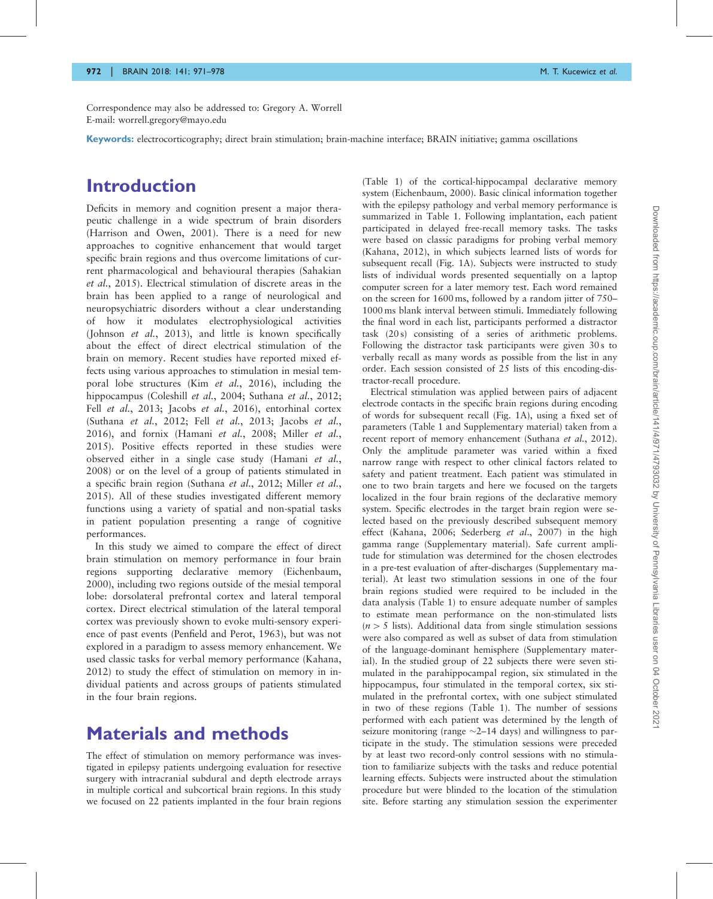Correspondence may also be addressed to: Gregory A. Worrell E-mail: worrell.gregory@mayo.edu

Keywords: electrocorticography; direct brain stimulation; brain-machine interface; BRAIN initiative; gamma oscillations

## Introduction

Deficits in memory and cognition present a major therapeutic challenge in a wide spectrum of brain disorders [\(Harrison and Owen, 2001\)](#page-6-0). There is a need for new approaches to cognitive enhancement that would target specific brain regions and thus overcome limitations of current pharmacological and behavioural therapies ([Sahakian](#page-7-0) et al.[, 2015](#page-7-0)). Electrical stimulation of discrete areas in the brain has been applied to a range of neurological and neuropsychiatric disorders without a clear understanding of how it modulates electrophysiological activities [\(Johnson](#page-7-0) et al., 2013), and little is known specifically about the effect of direct electrical stimulation of the brain on memory. Recent studies have reported mixed effects using various approaches to stimulation in mesial tem-poral lobe structures (Kim et al.[, 2016](#page-7-0)), including the hippocampus ([Coleshill](#page-6-0) *et al.*, 2004; [Suthana](#page-7-0) *et al.*, 2012; Fell et al.[, 2013;](#page-6-0) Jacobs et al.[, 2016](#page-6-0)), entorhinal cortex [\(Suthana](#page-7-0) et al., 2012; Fell et al.[, 2013; Jacobs](#page-6-0) et al., [2016](#page-6-0)), and fornix ([Hamani](#page-6-0) et al., 2008; [Miller](#page-7-0) et al., [2015](#page-7-0)). Positive effects reported in these studies were observed either in a single case study [\(Hamani](#page-6-0) et al., [2008](#page-6-0)) or on the level of a group of patients stimulated in a specific brain region ([Suthana](#page-7-0) et al., 2012; [Miller](#page-7-0) et al., [2015](#page-7-0)). All of these studies investigated different memory functions using a variety of spatial and non-spatial tasks in patient population presenting a range of cognitive performances.

In this study we aimed to compare the effect of direct brain stimulation on memory performance in four brain regions supporting declarative memory ([Eichenbaum,](#page-6-0) [2000](#page-6-0)), including two regions outside of the mesial temporal lobe: dorsolateral prefrontal cortex and lateral temporal cortex. Direct electrical stimulation of the lateral temporal cortex was previously shown to evoke multi-sensory experience of past events [\(Penfield and Perot, 1963\)](#page-7-0), but was not explored in a paradigm to assess memory enhancement. We used classic tasks for verbal memory performance [\(Kahana,](#page-7-0) [2012](#page-7-0)) to study the effect of stimulation on memory in individual patients and across groups of patients stimulated in the four brain regions.

### Materials and methods

The effect of stimulation on memory performance was investigated in epilepsy patients undergoing evaluation for resective surgery with intracranial subdural and depth electrode arrays in multiple cortical and subcortical brain regions. In this study we focused on 22 patients implanted in the four brain regions ([Table 1\)](#page-2-0) of the cortical-hippocampal declarative memory system [\(Eichenbaum, 2000\)](#page-6-0). Basic clinical information together with the epilepsy pathology and verbal memory performance is summarized in [Table 1](#page-2-0). Following implantation, each patient participated in delayed free-recall memory tasks. The tasks were based on classic paradigms for probing verbal memory ([Kahana, 2012](#page-7-0)), in which subjects learned lists of words for subsequent recall ([Fig. 1A](#page-3-0)). Subjects were instructed to study lists of individual words presented sequentially on a laptop computer screen for a later memory test. Each word remained on the screen for 1600 ms, followed by a random jitter of 750– 1000 ms blank interval between stimuli. Immediately following the final word in each list, participants performed a distractor task (20 s) consisting of a series of arithmetic problems. Following the distractor task participants were given 30s to verbally recall as many words as possible from the list in any order. Each session consisted of 25 lists of this encoding-distractor-recall procedure.

Electrical stimulation was applied between pairs of adjacent electrode contacts in the specific brain regions during encoding of words for subsequent recall [\(Fig. 1](#page-3-0)A), using a fixed set of parameters [\(Table 1](#page-2-0) and [Supplementary material\)](http://brain.oxfordjournals.org/lookup/suppl/doi:10.1093/brain/awx373#supplementary-data) taken from a recent report of memory enhancement ([Suthana](#page-7-0) et al., 2012). Only the amplitude parameter was varied within a fixed narrow range with respect to other clinical factors related to safety and patient treatment. Each patient was stimulated in one to two brain targets and here we focused on the targets localized in the four brain regions of the declarative memory system. Specific electrodes in the target brain region were selected based on the previously described subsequent memory effect [\(Kahana, 2006; Sederberg](#page-7-0) et al., 2007) in the high gamma range [\(Supplementary material\)](http://brain.oxfordjournals.org/lookup/suppl/doi:10.1093/brain/awx373#supplementary-data). Safe current amplitude for stimulation was determined for the chosen electrodes in a pre-test evaluation of after-discharges ([Supplementary ma](http://brain.oxfordjournals.org/lookup/suppl/doi:10.1093/brain/awx373#supplementary-data)[terial\)](http://brain.oxfordjournals.org/lookup/suppl/doi:10.1093/brain/awx373#supplementary-data). At least two stimulation sessions in one of the four brain regions studied were required to be included in the data analysis ([Table 1\)](#page-2-0) to ensure adequate number of samples to estimate mean performance on the non-stimulated lists  $(n > 5$  lists). Additional data from single stimulation sessions were also compared as well as subset of data from stimulation of the language-dominant hemisphere [\(Supplementary mater](http://brain.oxfordjournals.org/lookup/suppl/doi:10.1093/brain/awx373#supplementary-data)[ial](http://brain.oxfordjournals.org/lookup/suppl/doi:10.1093/brain/awx373#supplementary-data)). In the studied group of 22 subjects there were seven stimulated in the parahippocampal region, six stimulated in the hippocampus, four stimulated in the temporal cortex, six stimulated in the prefrontal cortex, with one subject stimulated in two of these regions ([Table 1](#page-2-0)). The number of sessions performed with each patient was determined by the length of seizure monitoring (range  $\sim$ 2–14 days) and willingness to participate in the study. The stimulation sessions were preceded by at least two record-only control sessions with no stimulation to familiarize subjects with the tasks and reduce potential learning effects. Subjects were instructed about the stimulation procedure but were blinded to the location of the stimulation site. Before starting any stimulation session the experimenter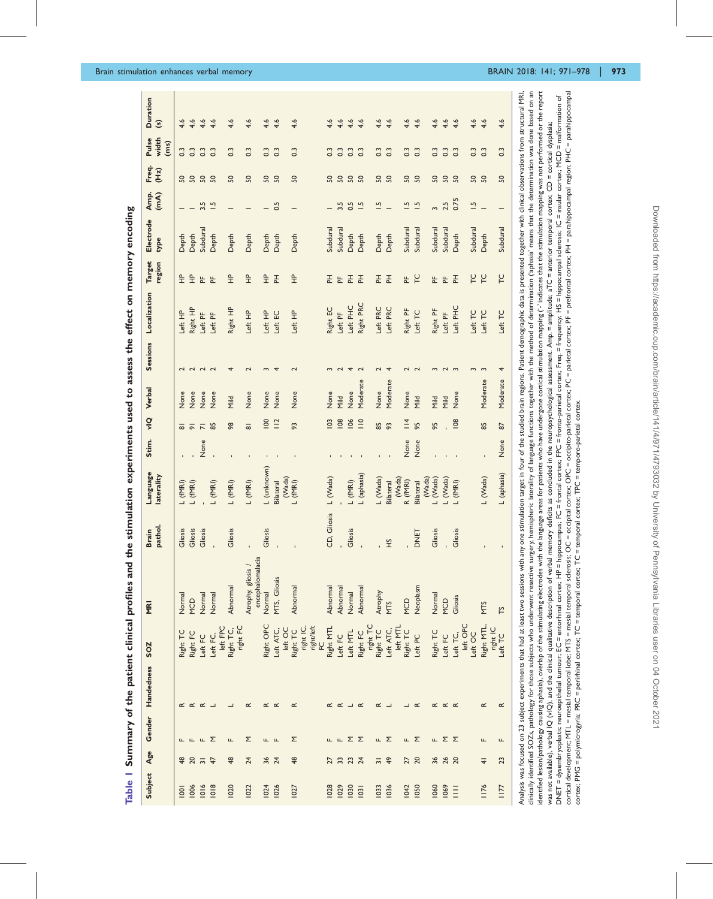<span id="page-2-0"></span>

|                  |                                         |              | Subject Age Gender Handedness | SOZ                     | <b>RI</b>                                                                                                                                                                                                                                                                                                          | pathol.<br><b>Brain</b>                                                                                                                                  | Language<br>laterality |      |                     | Stim. vIQ Verbal |               | Sessions Localization | <b>Target</b><br>region | Electrode<br>type | Amp.<br>(mA)            | Freq.<br>(Hz)  | width<br>Pulse<br>(ms) | <b>Duration</b><br>$\odot$ |
|------------------|-----------------------------------------|--------------|-------------------------------|-------------------------|--------------------------------------------------------------------------------------------------------------------------------------------------------------------------------------------------------------------------------------------------------------------------------------------------------------------|----------------------------------------------------------------------------------------------------------------------------------------------------------|------------------------|------|---------------------|------------------|---------------|-----------------------|-------------------------|-------------------|-------------------------|----------------|------------------------|----------------------------|
| $\overline{5}$   | ₽                                       |              |                               | Right TC                | Normal                                                                                                                                                                                                                                                                                                             | Gliosis                                                                                                                                                  | L (fMRI)               |      | ᇹ                   | None             |               | Left HP               | $\frac{a}{L}$           | Depth             |                         |                | $0.\overline{3}$       | 4.6                        |
| 1006             | 20                                      | щ            | $\propto$ $\propto$           | Right FC                | MCD                                                                                                                                                                                                                                                                                                                | Gliosis                                                                                                                                                  | $L$ (fMRI)             |      | $\overline{\circ}$  | None             | $\sim$        | Right HP              | $\frac{1}{2}$           | Depth             |                         | ន ន            | $\overline{0}$         | 4.6                        |
| 1016             | $\overline{5}$                          | $L \Sigma$   | $\propto$                     | Left FC                 | Normal                                                                                                                                                                                                                                                                                                             | Gliosis                                                                                                                                                  |                        | None | $\overline{r}$      | None             | $\sim$ $\sim$ | Left PF               | 눈 눈                     | Subdural          | 3.5                     | <u>ន ន</u>     | $\overline{0}$         | 4.6                        |
| 1018             | $\ddot{4}$                              |              |                               | left FPC<br>Left FC,    | Normal                                                                                                                                                                                                                                                                                                             |                                                                                                                                                          | $L$ (fMRI)             |      | 85                  | None             |               | Left PF               |                         | Depth             | $\ddot{ }$              |                | $\overline{0}$         | 4.6                        |
| 1020             | $\frac{48}{5}$                          | щ            |                               | right FC<br>Right TC,   | Abnormal                                                                                                                                                                                                                                                                                                           | Gliosis                                                                                                                                                  | $L$ (fMRI)             |      | 98                  | Mild             |               | Right HP              | $\frac{P}{T}$           | Depth             |                         | S <sub>0</sub> | $\frac{3}{2}$          | 4.6                        |
| 1022             | 24                                      | Σ            | $\propto$                     |                         | encephalomalacia<br>Atrophy, gliosis /                                                                                                                                                                                                                                                                             |                                                                                                                                                          | $L$ (fMRI)             |      | $\overline{\infty}$ | None             |               | Left HP               | $\frac{a}{L}$           | Depth             |                         | 50             | $\ddot{0}$             | 4.6                        |
| <b>1024</b>      | $36$ $74$                               | <b>ட</b> ட   | $\propto$                     | Right OPC               | Normal                                                                                                                                                                                                                                                                                                             | Gliosis                                                                                                                                                  | L (unknown)            |      | 100                 | None             |               | Left HP               | $\hat{\Xi}$             | Depth             |                         | ន ន            | $0.\overline{3}$       | 4.6                        |
| 1026             |                                         |              | $\propto$                     | Left ATC,               | MTS, Gliosis                                                                                                                                                                                                                                                                                                       |                                                                                                                                                          | <b>Bilateral</b>       |      | $\frac{12}{1}$      | None             |               | Left EC               | 푼                       | Depth             | 0.5                     |                | $\ddot{0}$             | 4.6                        |
| 1027             | $\frac{48}{5}$                          | Σ            | ๔                             | left OC<br>Right TC     | Abnormal                                                                                                                                                                                                                                                                                                           |                                                                                                                                                          | (Wada)<br>$L$ (fMRI)   |      | 93                  | None             |               | Left HP               | $\frac{a}{L}$           | Depth             |                         | 50             | $0.\overline{3}$       | 4.6                        |
|                  |                                         |              |                               | right/left<br>right IC, |                                                                                                                                                                                                                                                                                                                    |                                                                                                                                                          |                        |      |                     |                  |               |                       |                         |                   |                         |                |                        |                            |
| 028              | 27                                      |              | $\propto$                     | Right MTL               | Abnormal                                                                                                                                                                                                                                                                                                           | CD, Gliosis                                                                                                                                              | L (Wada)               |      | <b>103</b>          | None             | $\sim$        | Right EC              | 王                       | Subdural          |                         | 50             | $0.\overline{3}$       | 4.6                        |
| 1029             | $\mathfrak{L}$                          | $\mathbf{L}$ | $\propto$                     | Left FC                 | Abnormal                                                                                                                                                                                                                                                                                                           |                                                                                                                                                          |                        |      | $\overline{8}$      | Mild             |               | Left PF               | E                       | Subdural          | 3.5                     |                | $\overline{0}$         | 4.6                        |
| 1030             | $\begin{array}{c} 23 \\ 24 \end{array}$ | ΣΣ           |                               | Left MTL                | Normal                                                                                                                                                                                                                                                                                                             | Gliosis                                                                                                                                                  | $L$ (fMRI)             |      | 106                 | None             | 4             | Left PHC              | 푼                       | Depth             | 0.5                     | <u>ន ន ន</u>   | $\overline{0}$         | 4.6                        |
| $\overline{103}$ |                                         |              | $\propto$                     | Right FC                | Abnormal                                                                                                                                                                                                                                                                                                           |                                                                                                                                                          | L (aphasia)            |      | $\frac{1}{2}$       | Moderate         | $\sim$        | Right PRC             | 푼                       | Depth             | $\ddot{ }$              |                | $\overline{0}$         | 4.6                        |
| <b>1033</b>      | $\overline{5}$                          |              | ๔                             | right TC<br>Right TC    | Atrophy                                                                                                                                                                                                                                                                                                            |                                                                                                                                                          | L (Wada)               |      | 85                  | None             |               | Left PRC              | 돈                       | Depth             | $\overline{1}$          | 50             | $0.\overline{3}$       | 4.6                        |
| 1036             | $\frac{6}{4}$                           | μ Σ          |                               | Left ATC,               | <b>MTS</b>                                                                                                                                                                                                                                                                                                         | ЭH                                                                                                                                                       | <b>Bilateral</b>       |      | 93                  | Moderate         |               | Left PRC              | 푼                       | Depth             |                         | <u>ន</u>       | $\frac{3}{2}$          | 4.6                        |
| <b>1042</b>      | 27                                      | ш.           |                               | left MTL<br>Right TC    | MCD                                                                                                                                                                                                                                                                                                                |                                                                                                                                                          | (Wada)<br>R (fMRI)     | None | $\frac{4}{1}$       | None             |               | Right PF              | 눈                       | Subdural          | $\ddot{ }$              | SO,            | $\frac{3}{2}$          | 4.6                        |
| <b>1050</b>      | $\Omega$                                | ∑            | $\propto$                     | Left PC                 | Neoplasm                                                                                                                                                                                                                                                                                                           | DNET                                                                                                                                                     | <b>Bilateral</b>       | None | 95                  | Mild             | $\sim$        | Left TC               | $\overline{C}$          | Subdural          | $\ddot{ }$              | S <sub>0</sub> | $\overline{0}$         | 4.6                        |
|                  |                                         |              |                               |                         |                                                                                                                                                                                                                                                                                                                    |                                                                                                                                                          | (Wada)                 |      |                     |                  |               |                       |                         |                   |                         |                |                        |                            |
| 1060             | 36                                      | Щ.           | $\propto$                     | Right TC                | Normal                                                                                                                                                                                                                                                                                                             | Gliosis                                                                                                                                                  | L (Wada)               |      | 95                  | Mild             |               | Right PF              | 눈                       | Subdural          | $\mathbf{c}$            | 50             | $0.\overline{3}$       | 4.6                        |
| 1069             | 26<br>20                                | ΣΣ           | $\propto$ $\propto$           | Left FC                 | MCD                                                                                                                                                                                                                                                                                                                |                                                                                                                                                          | L (Wada)               |      |                     | Mild             |               | Left PF               | 눈                       | Subdural          | 2.5                     | <b>SQ</b>      | $\frac{3}{2}$          | 4.6                        |
| Ξ                |                                         |              |                               | Left TC,                | Gliosis                                                                                                                                                                                                                                                                                                            | Gliosis                                                                                                                                                  | $L$ (fMRI)             |      | 108                 | None             | $\sim$        | Left PHC              | 푼                       | Depth             | 0.75                    |                | $\overline{0}$         | 4.6                        |
|                  |                                         |              |                               | left OPC<br>Left OC     |                                                                                                                                                                                                                                                                                                                    |                                                                                                                                                          |                        |      |                     |                  |               | Left TC               |                         | Subdural          | $\overline{\mathbb{C}}$ |                | $0.\overline{3}$       | 4.6                        |
| 1176             | $\frac{4}{5}$                           | щ            | ๔                             | Right MTL,              | <b>MTS</b>                                                                                                                                                                                                                                                                                                         |                                                                                                                                                          | L (Wada)               |      | 85                  | Moderate         | $\sim$        | Left TC               | P C                     | Depth             |                         | ន ន            | $\overline{0}$         | 4.6                        |
|                  |                                         |              |                               | right IC                |                                                                                                                                                                                                                                                                                                                    |                                                                                                                                                          |                        |      |                     |                  |               |                       |                         |                   |                         |                |                        |                            |
| 1177             | ఇ                                       | щ            | $\propto$                     | Left TC                 | rs                                                                                                                                                                                                                                                                                                                 |                                                                                                                                                          | L (aphasia)            | None | $\overline{8}$      | Moderate         |               | Left TC               | LC                      | Subdural          |                         | S <sub>0</sub> | $\overline{0}$ :       | 4.6                        |
|                  |                                         |              |                               |                         | Analysis was focused on 23 subject experiments that had at least two sessions with any one stimulation target in four of the studied brain regions. Patient demographic data is presented together with clinical observations<br>rinically identified SOTs pathology for those subjects who underwant resective su | resultable in the properties of Incrines functions together with the method of determination ("anhatis" means that the determination was done hased on a |                        |      |                     |                  |               |                       |                         |                   |                         |                |                        |                            |

identified lesion/pathology causing aphasia), overlap of the stimulating electrodes with the language areas for patients who have undergone cortical stimulation mapping (\* indicates that the stimulation mapping was not per cortical development; MTL = mesial temporal obe; MTS = mesial temporal sclerosis; OC = occipital cortex; PC = occipita-parietal cortex; PC = parietal cortex; PF = prefrontal cortex; PH = parahippocampal region; PHC = parah clinically identified SOZs, pathology for those subjects who underwent resective surgery, hemispheric laterality of language functions together with the method of determination ("aphasia' means that the determination was d identified lesion/pathology causing aphasia), overlap of the stimulating electrodes with the language areas for patients who have undergone cortical stimulation mapping (\* indicates that the stimulation mapping was not per cortical development; MTL = mesial temporal lobe; MTS = mesial temporal scleroosis; OC = occipital cortex; DC = occipital cortex; PC = parietal cortex; PF = prefrontal cortex; PH = parahippocampal region; PHC = parahippoca DNET = dysembryoplastic neuroepithelial tumour; EC = entorhinal cortex; HP = hippocampus; FC = frontal cortex; FPC = frontal cortex; Freq = frequency; HS = hippocampal sclerosis; IC = insular cortex; MCD = malformation of DNET = dysembryoplastic neuroepithelial tumour; EC = entorhinal cortex; HP = hippocampus; FC = frontal cortex; FPC = frontal cortex; FPC = frequency; HS = hippocampal sclerosis; IC = insular cortex; MCD = malformation of was not available), verbal IQ (vIQ), and the clinical qualitative description of verbal memory deficits as concluded in the neuropsychological assessment. Amp. = amplitude: aTC = anterior temporal cortex; CD = cortical dys was not available), verbal IQ (vIQ), and the clinical qualitative description of verbal memory deficits as concluded in the neuropsychological assessment. Amp.= amplitude: aTC = anterior temporal cortex, CD = cortical dysp cortex; PMG = polymicrogyria; PRC = perirhinal cortex; TC = temporal cortex; TC = temporal cortex; TPC = temporo-parietal cortex. cortex; PMG = polymicrogyria; PRC = perirhinal cortex; TC = temporal cortex; TC = temporal cortex; TPC = temporo-parietal cortex.  $\overline{5}$ ă  $\overline{5}$ ప్లె 등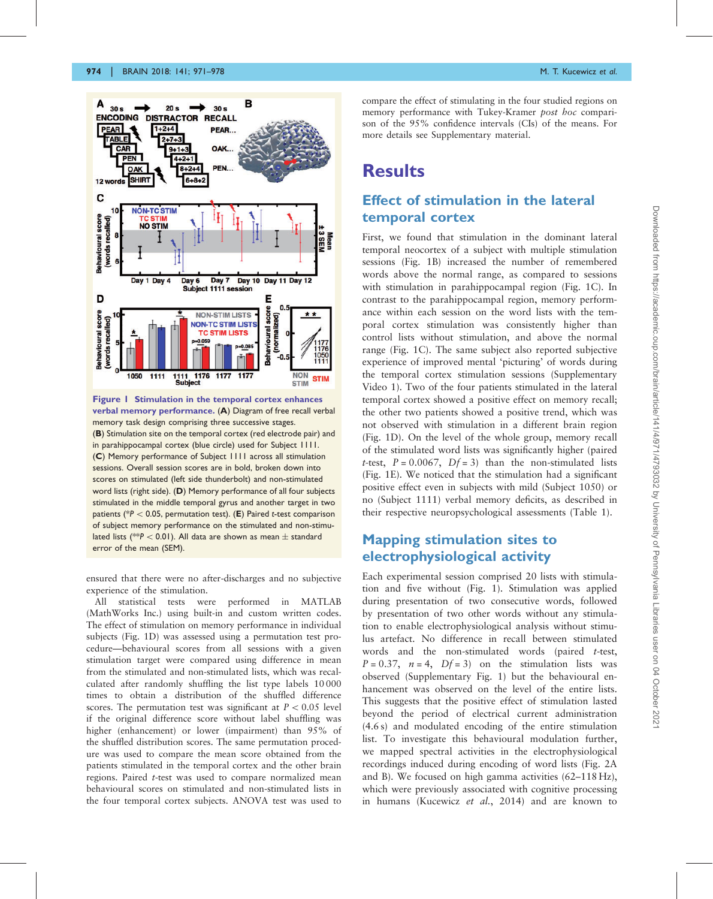<span id="page-3-0"></span>

Figure 1 Stimulation in the temporal cortex enhances verbal memory performance. (A) Diagram of free recall verbal memory task design comprising three successive stages. (B) Stimulation site on the temporal cortex (red electrode pair) and in parahippocampal cortex (blue circle) used for Subject 1111. (C) Memory performance of Subject 1111 across all stimulation sessions. Overall session scores are in bold, broken down into scores on stimulated (left side thunderbolt) and non-stimulated word lists (right side). (D) Memory performance of all four subjects stimulated in the middle temporal gyrus and another target in two patients (\* $P < 0.05$ , permutation test). (E) Paired t-test comparison of subject memory performance on the stimulated and non-stimulated lists (\*\* $P < 0.01$ ). All data are shown as mean  $\pm$  standard error of the mean (SEM).

ensured that there were no after-discharges and no subjective experience of the stimulation.

All statistical tests were performed in MATLAB (MathWorks Inc.) using built-in and custom written codes. The effect of stimulation on memory performance in individual subjects (Fig. 1D) was assessed using a permutation test procedure—behavioural scores from all sessions with a given stimulation target were compared using difference in mean from the stimulated and non-stimulated lists, which was recalculated after randomly shuffling the list type labels 10 000 times to obtain a distribution of the shuffled difference scores. The permutation test was significant at  $P < 0.05$  level if the original difference score without label shuffling was higher (enhancement) or lower (impairment) than 95% of the shuffled distribution scores. The same permutation procedure was used to compare the mean score obtained from the patients stimulated in the temporal cortex and the other brain regions. Paired t-test was used to compare normalized mean behavioural scores on stimulated and non-stimulated lists in the four temporal cortex subjects. ANOVA test was used to

compare the effect of stimulating in the four studied regions on memory performance with Tukey-Kramer post hoc comparison of the 95% confidence intervals (CIs) of the means. For more details see [Supplementary material.](http://brain.oxfordjournals.org/lookup/suppl/doi:10.1093/brain/awx373#supplementary-data)

## **Results**

#### Effect of stimulation in the lateral temporal cortex

First, we found that stimulation in the dominant lateral temporal neocortex of a subject with multiple stimulation sessions (Fig. 1B) increased the number of remembered words above the normal range, as compared to sessions with stimulation in parahippocampal region (Fig. 1C). In contrast to the parahippocampal region, memory performance within each session on the word lists with the temporal cortex stimulation was consistently higher than control lists without stimulation, and above the normal range (Fig. 1C). The same subject also reported subjective experience of improved mental 'picturing' of words during the temporal cortex stimulation sessions ([Supplementary](http://brain.oxfordjournals.org/lookup/suppl/doi:10.1093/brain/awx373#supplementary-data) [Video 1\)](http://brain.oxfordjournals.org/lookup/suppl/doi:10.1093/brain/awx373#supplementary-data). Two of the four patients stimulated in the lateral temporal cortex showed a positive effect on memory recall; the other two patients showed a positive trend, which was not observed with stimulation in a different brain region (Fig. 1D). On the level of the whole group, memory recall of the stimulated word lists was significantly higher (paired t-test,  $P = 0.0067$ ,  $Df = 3$ ) than the non-stimulated lists (Fig. 1E). We noticed that the stimulation had a significant positive effect even in subjects with mild (Subject 1050) or no (Subject 1111) verbal memory deficits, as described in their respective neuropsychological assessments ([Table 1\)](#page-2-0).

#### Mapping stimulation sites to electrophysiological activity

Each experimental session comprised 20 lists with stimulation and five without (Fig. 1). Stimulation was applied during presentation of two consecutive words, followed by presentation of two other words without any stimulation to enable electrophysiological analysis without stimulus artefact. No difference in recall between stimulated words and the non-stimulated words (paired t-test,  $P = 0.37$ ,  $n = 4$ ,  $Df = 3$  on the stimulation lists was observed [\(Supplementary Fig. 1\)](http://brain.oxfordjournals.org/lookup/suppl/doi:10.1093/brain/awx373#supplementary-data) but the behavioural enhancement was observed on the level of the entire lists. This suggests that the positive effect of stimulation lasted beyond the period of electrical current administration (4.6 s) and modulated encoding of the entire stimulation list. To investigate this behavioural modulation further, we mapped spectral activities in the electrophysiological recordings induced during encoding of word lists ([Fig. 2](#page-4-0)A and B). We focused on high gamma activities (62–118 Hz), which were previously associated with cognitive processing in humans ([Kucewicz](#page-7-0) et al., 2014) and are known to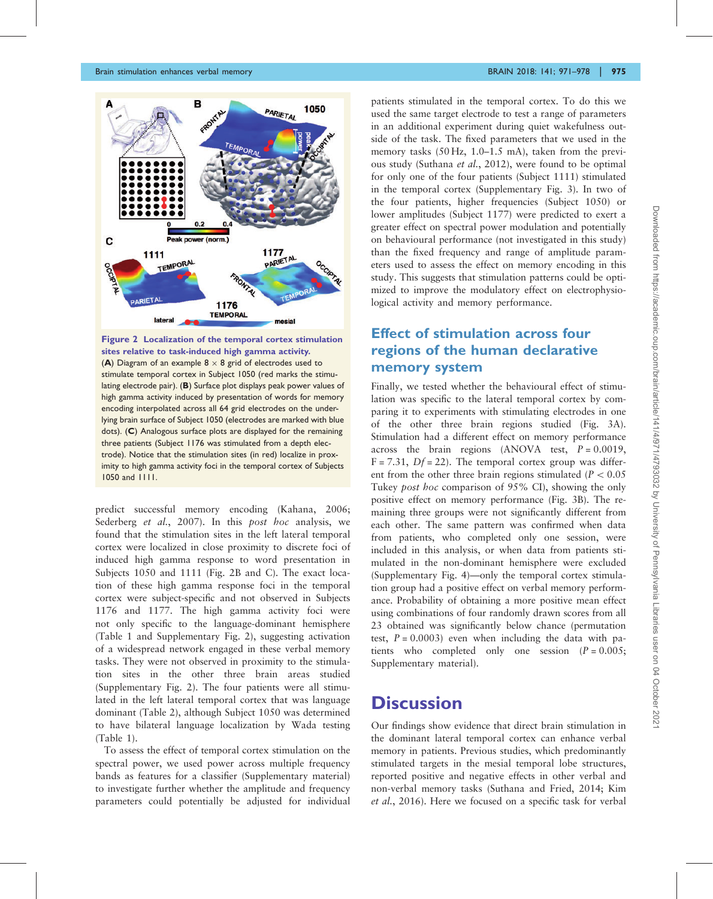<span id="page-4-0"></span>

Figure 2 Localization of the temporal cortex stimulation sites relative to task-induced high gamma activity. (A) Diagram of an example  $8 \times 8$  grid of electrodes used to stimulate temporal cortex in Subject 1050 (red marks the stimulating electrode pair). (B) Surface plot displays peak power values of high gamma activity induced by presentation of words for memory encoding interpolated across all 64 grid electrodes on the underlying brain surface of Subject 1050 (electrodes are marked with blue dots). (C) Analogous surface plots are displayed for the remaining three patients (Subject 1176 was stimulated from a depth electrode). Notice that the stimulation sites (in red) localize in proximity to high gamma activity foci in the temporal cortex of Subjects 1050 and 1111.

predict successful memory encoding ([Kahana, 2006](#page-7-0); [Sederberg](#page-7-0) et al., 2007). In this post hoc analysis, we found that the stimulation sites in the left lateral temporal cortex were localized in close proximity to discrete foci of induced high gamma response to word presentation in Subjects 1050 and 1111 (Fig. 2B and C). The exact location of these high gamma response foci in the temporal cortex were subject-specific and not observed in Subjects 1176 and 1177. The high gamma activity foci were not only specific to the language-dominant hemisphere ([Table 1](#page-2-0) and [Supplementary Fig. 2\)](http://brain.oxfordjournals.org/lookup/suppl/doi:10.1093/brain/awx373#supplementary-data), suggesting activation of a widespread network engaged in these verbal memory tasks. They were not observed in proximity to the stimulation sites in the other three brain areas studied ([Supplementary Fig. 2](http://brain.oxfordjournals.org/lookup/suppl/doi:10.1093/brain/awx373#supplementary-data)). The four patients were all stimulated in the left lateral temporal cortex that was language dominant (Table 2), although Subject 1050 was determined to have bilateral language localization by Wada testing ([Table 1\)](#page-2-0).

To assess the effect of temporal cortex stimulation on the spectral power, we used power across multiple frequency bands as features for a classifier ([Supplementary material\)](http://brain.oxfordjournals.org/lookup/suppl/doi:10.1093/brain/awx373#supplementary-data) to investigate further whether the amplitude and frequency parameters could potentially be adjusted for individual patients stimulated in the temporal cortex. To do this we used the same target electrode to test a range of parameters in an additional experiment during quiet wakefulness outside of the task. The fixed parameters that we used in the memory tasks (50 Hz, 1.0–1.5 mA), taken from the previous study [\(Suthana](#page-7-0) et al., 2012), were found to be optimal for only one of the four patients (Subject 1111) stimulated in the temporal cortex ([Supplementary Fig. 3](http://brain.oxfordjournals.org/lookup/suppl/doi:10.1093/brain/awx373#supplementary-data)). In two of the four patients, higher frequencies (Subject 1050) or lower amplitudes (Subject 1177) were predicted to exert a greater effect on spectral power modulation and potentially on behavioural performance (not investigated in this study) than the fixed frequency and range of amplitude parameters used to assess the effect on memory encoding in this study. This suggests that stimulation patterns could be optimized to improve the modulatory effect on electrophysiological activity and memory performance.

#### Effect of stimulation across four regions of the human declarative memory system

Finally, we tested whether the behavioural effect of stimulation was specific to the lateral temporal cortex by comparing it to experiments with stimulating electrodes in one of the other three brain regions studied ([Fig. 3](#page-5-0)A). Stimulation had a different effect on memory performance across the brain regions (ANOVA test,  $P = 0.0019$ ,  $F = 7.31$ ,  $Df = 22$ ). The temporal cortex group was different from the other three brain regions stimulated ( $P < 0.05$ ) Tukey post hoc comparison of 95% CI), showing the only positive effect on memory performance [\(Fig. 3B](#page-5-0)). The remaining three groups were not significantly different from each other. The same pattern was confirmed when data from patients, who completed only one session, were included in this analysis, or when data from patients stimulated in the non-dominant hemisphere were excluded ([Supplementary Fig. 4](http://brain.oxfordjournals.org/lookup/suppl/doi:10.1093/brain/awx373#supplementary-data))—only the temporal cortex stimulation group had a positive effect on verbal memory performance. Probability of obtaining a more positive mean effect using combinations of four randomly drawn scores from all 23 obtained was significantly below chance (permutation test,  $P = 0.0003$ ) even when including the data with patients who completed only one session  $(P = 0.005)$ ; [Supplementary material\)](http://brain.oxfordjournals.org/lookup/suppl/doi:10.1093/brain/awx373#supplementary-data).

## **Discussion**

Our findings show evidence that direct brain stimulation in the dominant lateral temporal cortex can enhance verbal memory in patients. Previous studies, which predominantly stimulated targets in the mesial temporal lobe structures, reported positive and negative effects in other verbal and non-verbal memory tasks [\(Suthana and Fried, 2014](#page-7-0); [Kim](#page-7-0) et al.[, 2016\)](#page-7-0). Here we focused on a specific task for verbal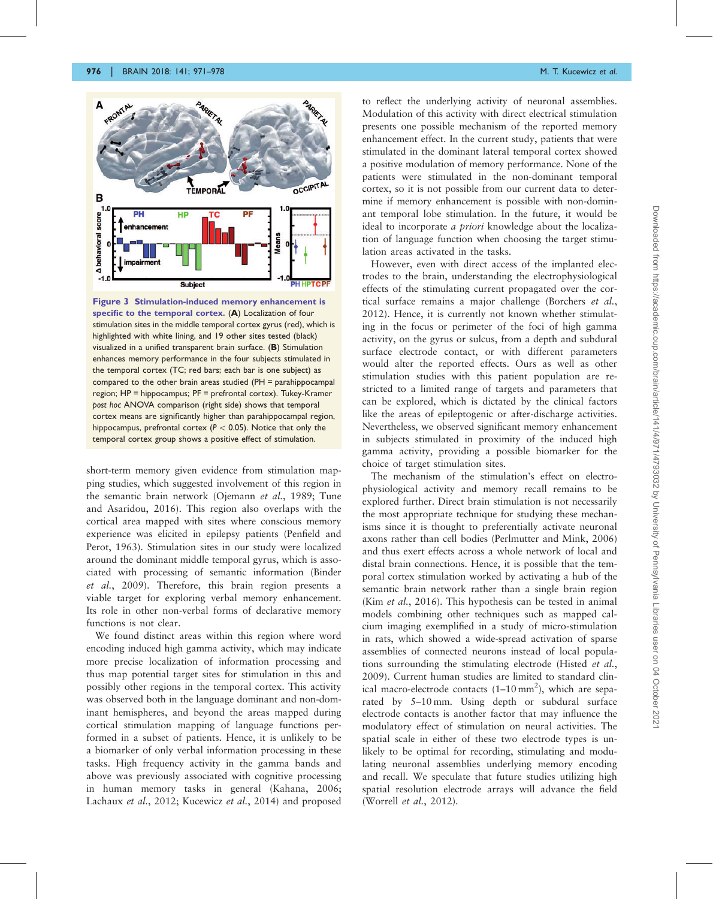<span id="page-5-0"></span>

Figure 3 Stimulation-induced memory enhancement is specific to the temporal cortex. (A) Localization of four stimulation sites in the middle temporal cortex gyrus (red), which is highlighted with white lining, and 19 other sites tested (black) visualized in a unified transparent brain surface. (B) Stimulation enhances memory performance in the four subjects stimulated in the temporal cortex (TC; red bars; each bar is one subject) as compared to the other brain areas studied (PH = parahippocampal region; HP = hippocampus; PF = prefrontal cortex). Tukey-Kramer post hoc ANOVA comparison (right side) shows that temporal cortex means are significantly higher than parahippocampal region, hippocampus, prefrontal cortex ( $P < 0.05$ ). Notice that only the temporal cortex group shows a positive effect of stimulation.

short-term memory given evidence from stimulation mapping studies, which suggested involvement of this region in the semantic brain network [\(Ojemann](#page-7-0) et al., 1989; [Tune](#page-7-0) [and Asaridou, 2016\)](#page-7-0). This region also overlaps with the cortical area mapped with sites where conscious memory experience was elicited in epilepsy patients [\(Penfield and](#page-7-0) [Perot, 1963\)](#page-7-0). Stimulation sites in our study were localized around the dominant middle temporal gyrus, which is associated with processing of semantic information ([Binder](#page-6-0) et al.[, 2009\)](#page-6-0). Therefore, this brain region presents a viable target for exploring verbal memory enhancement. Its role in other non-verbal forms of declarative memory functions is not clear.

We found distinct areas within this region where word encoding induced high gamma activity, which may indicate more precise localization of information processing and thus map potential target sites for stimulation in this and possibly other regions in the temporal cortex. This activity was observed both in the language dominant and non-dominant hemispheres, and beyond the areas mapped during cortical stimulation mapping of language functions performed in a subset of patients. Hence, it is unlikely to be a biomarker of only verbal information processing in these tasks. High frequency activity in the gamma bands and above was previously associated with cognitive processing in human memory tasks in general ([Kahana, 2006;](#page-7-0) [Lachaux](#page-7-0) et al., 2012; [Kucewicz](#page-7-0) et al., 2014) and proposed

to reflect the underlying activity of neuronal assemblies. Modulation of this activity with direct electrical stimulation presents one possible mechanism of the reported memory enhancement effect. In the current study, patients that were stimulated in the dominant lateral temporal cortex showed a positive modulation of memory performance. None of the patients were stimulated in the non-dominant temporal cortex, so it is not possible from our current data to determine if memory enhancement is possible with non-dominant temporal lobe stimulation. In the future, it would be ideal to incorporate *a priori* knowledge about the localization of language function when choosing the target stimulation areas activated in the tasks.

However, even with direct access of the implanted electrodes to the brain, understanding the electrophysiological effects of the stimulating current propagated over the cortical surface remains a major challenge [\(Borchers](#page-6-0) et al., [2012\)](#page-6-0). Hence, it is currently not known whether stimulating in the focus or perimeter of the foci of high gamma activity, on the gyrus or sulcus, from a depth and subdural surface electrode contact, or with different parameters would alter the reported effects. Ours as well as other stimulation studies with this patient population are restricted to a limited range of targets and parameters that can be explored, which is dictated by the clinical factors like the areas of epileptogenic or after-discharge activities. Nevertheless, we observed significant memory enhancement in subjects stimulated in proximity of the induced high gamma activity, providing a possible biomarker for the choice of target stimulation sites.

The mechanism of the stimulation's effect on electrophysiological activity and memory recall remains to be explored further. Direct brain stimulation is not necessarily the most appropriate technique for studying these mechanisms since it is thought to preferentially activate neuronal axons rather than cell bodies ([Perlmutter and Mink, 2006\)](#page-7-0) and thus exert effects across a whole network of local and distal brain connections. Hence, it is possible that the temporal cortex stimulation worked by activating a hub of the semantic brain network rather than a single brain region (Kim et al.[, 2016](#page-7-0)). This hypothesis can be tested in animal models combining other techniques such as mapped calcium imaging exemplified in a study of micro-stimulation in rats, which showed a wide-spread activation of sparse assemblies of connected neurons instead of local populations surrounding the stimulating electrode ([Histed](#page-6-0) et al., [2009\)](#page-6-0). Current human studies are limited to standard clinical macro-electrode contacts  $(1-10 \text{ mm}^2)$ , which are separated by 5–10 mm. Using depth or subdural surface electrode contacts is another factor that may influence the modulatory effect of stimulation on neural activities. The spatial scale in either of these two electrode types is unlikely to be optimal for recording, stimulating and modulating neuronal assemblies underlying memory encoding and recall. We speculate that future studies utilizing high spatial resolution electrode arrays will advance the field [\(Worrell](#page-7-0) et al., 2012).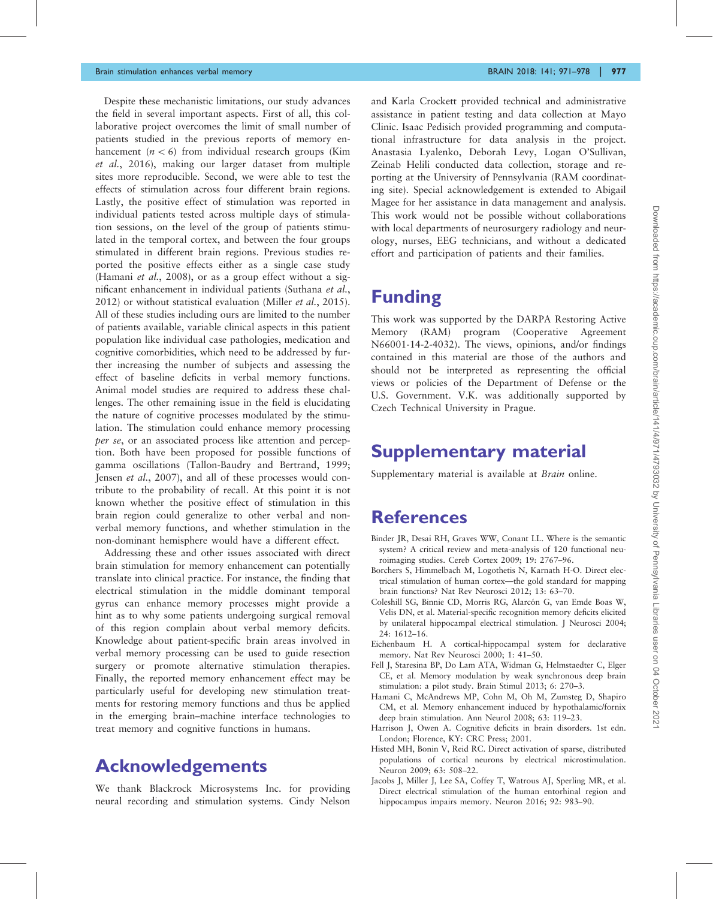<span id="page-6-0"></span>Despite these mechanistic limitations, our study advances the field in several important aspects. First of all, this collaborative project overcomes the limit of small number of patients studied in the previous reports of memory enhancement  $(n < 6)$  from individual research groups [\(Kim](#page-7-0) et al.[, 2016](#page-7-0)), making our larger dataset from multiple sites more reproducible. Second, we were able to test the effects of stimulation across four different brain regions. Lastly, the positive effect of stimulation was reported in individual patients tested across multiple days of stimulation sessions, on the level of the group of patients stimulated in the temporal cortex, and between the four groups stimulated in different brain regions. Previous studies reported the positive effects either as a single case study (Hamani *et al.*, 2008), or as a group effect without a significant enhancement in individual patients ([Suthana](#page-7-0) et al., [2012\)](#page-7-0) or without statistical evaluation (Miller et al.[, 2015](#page-7-0)). All of these studies including ours are limited to the number of patients available, variable clinical aspects in this patient population like individual case pathologies, medication and cognitive comorbidities, which need to be addressed by further increasing the number of subjects and assessing the effect of baseline deficits in verbal memory functions. Animal model studies are required to address these challenges. The other remaining issue in the field is elucidating the nature of cognitive processes modulated by the stimulation. The stimulation could enhance memory processing per se, or an associated process like attention and perception. Both have been proposed for possible functions of gamma oscillations ([Tallon-Baudry and Bertrand, 1999](#page-7-0); Jensen et al.[, 2007\)](#page-7-0), and all of these processes would contribute to the probability of recall. At this point it is not known whether the positive effect of stimulation in this brain region could generalize to other verbal and nonverbal memory functions, and whether stimulation in the non-dominant hemisphere would have a different effect.

Addressing these and other issues associated with direct brain stimulation for memory enhancement can potentially translate into clinical practice. For instance, the finding that electrical stimulation in the middle dominant temporal gyrus can enhance memory processes might provide a hint as to why some patients undergoing surgical removal of this region complain about verbal memory deficits. Knowledge about patient-specific brain areas involved in verbal memory processing can be used to guide resection surgery or promote alternative stimulation therapies. Finally, the reported memory enhancement effect may be particularly useful for developing new stimulation treatments for restoring memory functions and thus be applied in the emerging brain–machine interface technologies to treat memory and cognitive functions in humans.

## Acknowledgements

We thank Blackrock Microsystems Inc. for providing neural recording and stimulation systems. Cindy Nelson

and Karla Crockett provided technical and administrative assistance in patient testing and data collection at Mayo Clinic. Isaac Pedisich provided programming and computational infrastructure for data analysis in the project. Anastasia Lyalenko, Deborah Levy, Logan O'Sullivan, Zeinab Helili conducted data collection, storage and reporting at the University of Pennsylvania (RAM coordinating site). Special acknowledgement is extended to Abigail Magee for her assistance in data management and analysis. This work would not be possible without collaborations with local departments of neurosurgery radiology and neurology, nurses, EEG technicians, and without a dedicated effort and participation of patients and their families.

## Funding

This work was supported by the DARPA Restoring Active Memory (RAM) program (Cooperative Agreement N66001-14-2-4032). The views, opinions, and/or findings contained in this material are those of the authors and should not be interpreted as representing the official views or policies of the Department of Defense or the U.S. Government. V.K. was additionally supported by Czech Technical University in Prague.

# Supplementary material

[Supplementary material](http://brain.oxfordjournals.org/lookup/suppl/doi:10.1093/brain/awx373#supplementary-data) is available at *Brain* online.

# **References**

- Binder JR, Desai RH, Graves WW, Conant LL. Where is the semantic system? A critical review and meta-analysis of 120 functional neuroimaging studies. Cereb Cortex 2009; 19: 2767–96.
- Borchers S, Himmelbach M, Logothetis N, Karnath H-O. Direct electrical stimulation of human cortex—the gold standard for mapping brain functions? Nat Rev Neurosci 2012; 13: 63–70.
- Coleshill SG, Binnie CD, Morris RG, Alarcón G, van Emde Boas W, Velis DN, et al. Material-specific recognition memory deficits elicited by unilateral hippocampal electrical stimulation. J Neurosci 2004; 24: 1612–16.
- Eichenbaum H. A cortical-hippocampal system for declarative memory. Nat Rev Neurosci 2000; 1: 41–50.
- Fell J, Staresina BP, Do Lam ATA, Widman G, Helmstaedter C, Elger CE, et al. Memory modulation by weak synchronous deep brain stimulation: a pilot study. Brain Stimul 2013; 6: 270–3.
- Hamani C, McAndrews MP, Cohn M, Oh M, Zumsteg D, Shapiro CM, et al. Memory enhancement induced by hypothalamic/fornix deep brain stimulation. Ann Neurol 2008; 63: 119–23.
- Harrison J, Owen A. Cognitive deficits in brain disorders. 1st edn. London; Florence, KY: CRC Press; 2001.
- Histed MH, Bonin V, Reid RC. Direct activation of sparse, distributed populations of cortical neurons by electrical microstimulation. Neuron 2009; 63: 508–22.
- Jacobs J, Miller J, Lee SA, Coffey T, Watrous AJ, Sperling MR, et al. Direct electrical stimulation of the human entorhinal region and hippocampus impairs memory. Neuron 2016; 92: 983–90.